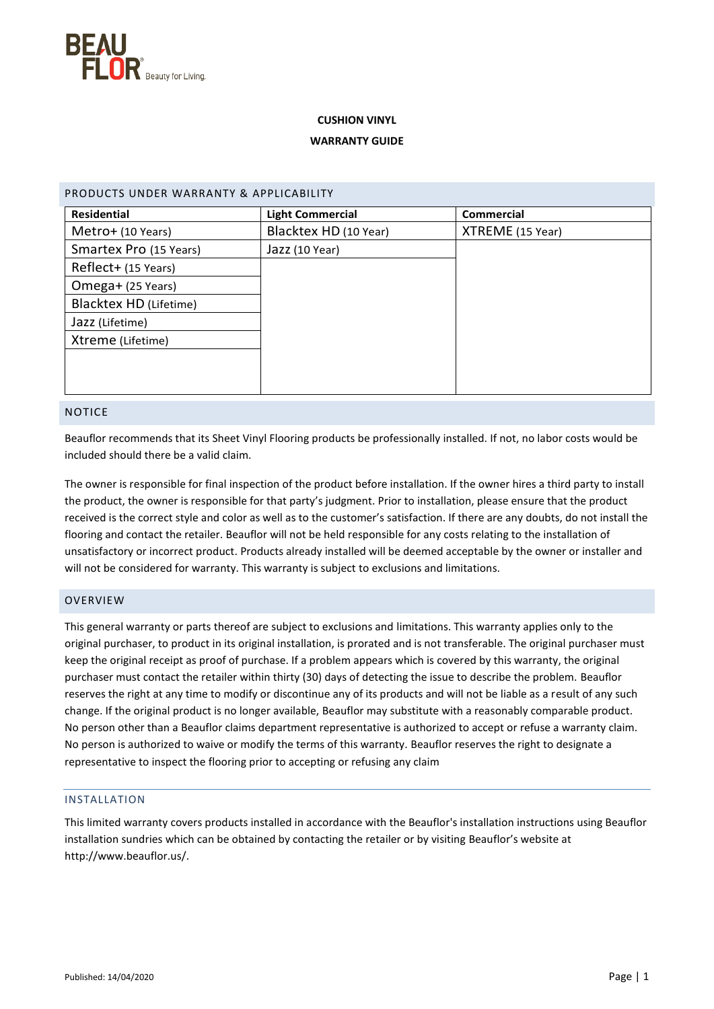

# **CUSHION VINYL**

# **WARRANTY GUIDE**

| <b>Residential</b>     | <b>Light Commercial</b><br><b>Commercial</b> |                  |
|------------------------|----------------------------------------------|------------------|
| Metro+ (10 Years)      | Blacktex HD (10 Year)                        | XTREME (15 Year) |
| Smartex Pro (15 Years) | Jazz (10 Year)                               |                  |
| Reflect+ (15 Years)    |                                              |                  |
| Omega+ (25 Years)      |                                              |                  |
| Blacktex HD (Lifetime) |                                              |                  |
| Jazz (Lifetime)        |                                              |                  |
| Xtreme (Lifetime)      |                                              |                  |
|                        |                                              |                  |
|                        |                                              |                  |
|                        |                                              |                  |

# NOTICE

Beauflor recommends that its Sheet Vinyl Flooring products be professionally installed. If not, no labor costs would be included should there be a valid claim.

The owner is responsible for final inspection of the product before installation. If the owner hires a third party to install the product, the owner is responsible for that party's judgment. Prior to installation, please ensure that the product received is the correct style and color as well as to the customer's satisfaction. If there are any doubts, do not install the flooring and contact the retailer. Beauflor will not be held responsible for any costs relating to the installation of unsatisfactory or incorrect product. Products already installed will be deemed acceptable by the owner or installer and will not be considered for warranty. This warranty is subject to exclusions and limitations.

## **OVERVIEW**

This general warranty or parts thereof are subject to exclusions and limitations. This warranty applies only to the original purchaser, to product in its original installation, is prorated and is not transferable. The original purchaser must keep the original receipt as proof of purchase. If a problem appears which is covered by this warranty, the original purchaser must contact the retailer within thirty (30) days of detecting the issue to describe the problem. Beauflor reserves the right at any time to modify or discontinue any of its products and will not be liable as a result of any such change. If the original product is no longer available, Beauflor may substitute with a reasonably comparable product. No person other than a Beauflor claims department representative is authorized to accept or refuse a warranty claim. No person is authorized to waive or modify the terms of this warranty. Beauflor reserves the right to designate a representative to inspect the flooring prior to accepting or refusing any claim

## INSTALLATION

This limited warranty covers products installed in accordance with the Beauflor's installation instructions using Beauflor installation sundries which can be obtained by contacting the retailer or by visiting Beauflor's website at http://www.beauflor.us/.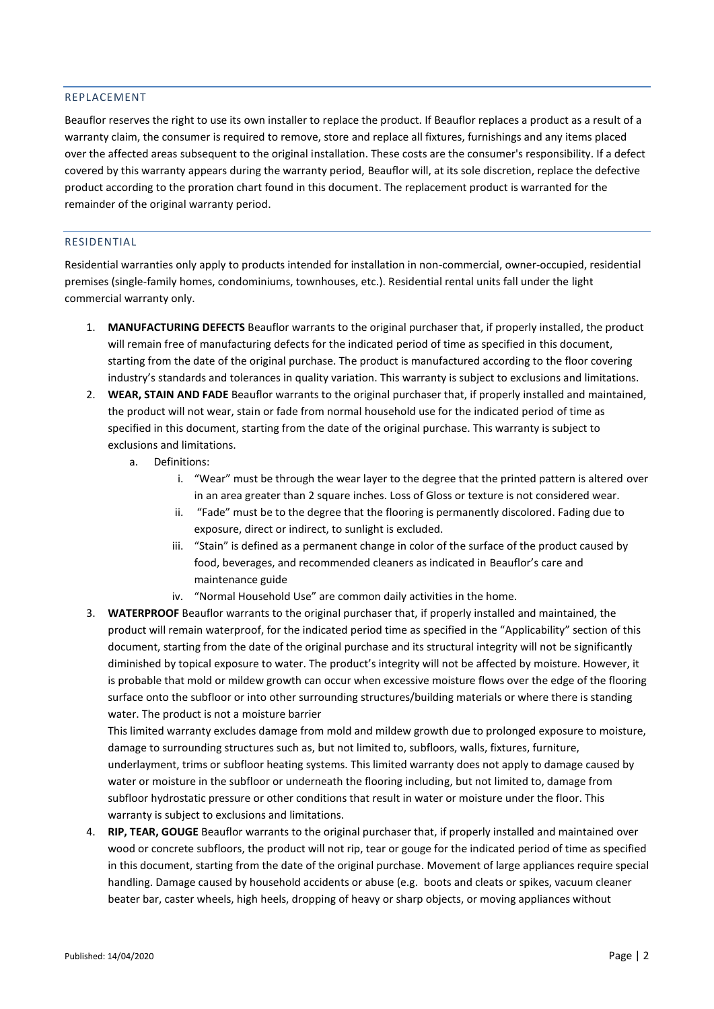## REPLACEMENT

Beauflor reserves the right to use its own installer to replace the product. If Beauflor replaces a product as a result of a warranty claim, the consumer is required to remove, store and replace all fixtures, furnishings and any items placed over the affected areas subsequent to the original installation. These costs are the consumer's responsibility. If a defect covered by this warranty appears during the warranty period, Beauflor will, at its sole discretion, replace the defective product according to the proration chart found in this document. The replacement product is warranted for the remainder of the original warranty period.

#### RESIDENTIAL

Residential warranties only apply to products intended for installation in non-commercial, owner-occupied, residential premises (single-family homes, condominiums, townhouses, etc.). Residential rental units fall under the light commercial warranty only.

- 1. **MANUFACTURING DEFECTS** Beauflor warrants to the original purchaser that, if properly installed, the product will remain free of manufacturing defects for the indicated period of time as specified in this document, starting from the date of the original purchase. The product is manufactured according to the floor covering industry's standards and tolerances in quality variation. This warranty is subject to exclusions and limitations.
- 2. **WEAR, STAIN AND FADE** Beauflor warrants to the original purchaser that, if properly installed and maintained, the product will not wear, stain or fade from normal household use for the indicated period of time as specified in this document, starting from the date of the original purchase. This warranty is subject to exclusions and limitations.
	- a. Definitions:
		- i. "Wear" must be through the wear layer to the degree that the printed pattern is altered over in an area greater than 2 square inches. Loss of Gloss or texture is not considered wear.
		- ii. "Fade" must be to the degree that the flooring is permanently discolored. Fading due to exposure, direct or indirect, to sunlight is excluded.
		- iii. "Stain" is defined as a permanent change in color of the surface of the product caused by food, beverages, and recommended cleaners as indicated in Beauflor's care and maintenance guide
		- iv. "Normal Household Use" are common daily activities in the home.
- 3. **WATERPROOF** Beauflor warrants to the original purchaser that, if properly installed and maintained, the product will remain waterproof, for the indicated period time as specified in the "Applicability" section of this document, starting from the date of the original purchase and its structural integrity will not be significantly diminished by topical exposure to water. The product's integrity will not be affected by moisture. However, it is probable that mold or mildew growth can occur when excessive moisture flows over the edge of the flooring surface onto the subfloor or into other surrounding structures/building materials or where there is standing water. The product is not a moisture barrier

This limited warranty excludes damage from mold and mildew growth due to prolonged exposure to moisture, damage to surrounding structures such as, but not limited to, subfloors, walls, fixtures, furniture, underlayment, trims or subfloor heating systems. This limited warranty does not apply to damage caused by water or moisture in the subfloor or underneath the flooring including, but not limited to, damage from subfloor hydrostatic pressure or other conditions that result in water or moisture under the floor. This warranty is subject to exclusions and limitations.

4. **RIP, TEAR, GOUGE** Beauflor warrants to the original purchaser that, if properly installed and maintained over wood or concrete subfloors, the product will not rip, tear or gouge for the indicated period of time as specified in this document, starting from the date of the original purchase. Movement of large appliances require special handling. Damage caused by household accidents or abuse (e.g. boots and cleats or spikes, vacuum cleaner beater bar, caster wheels, high heels, dropping of heavy or sharp objects, or moving appliances without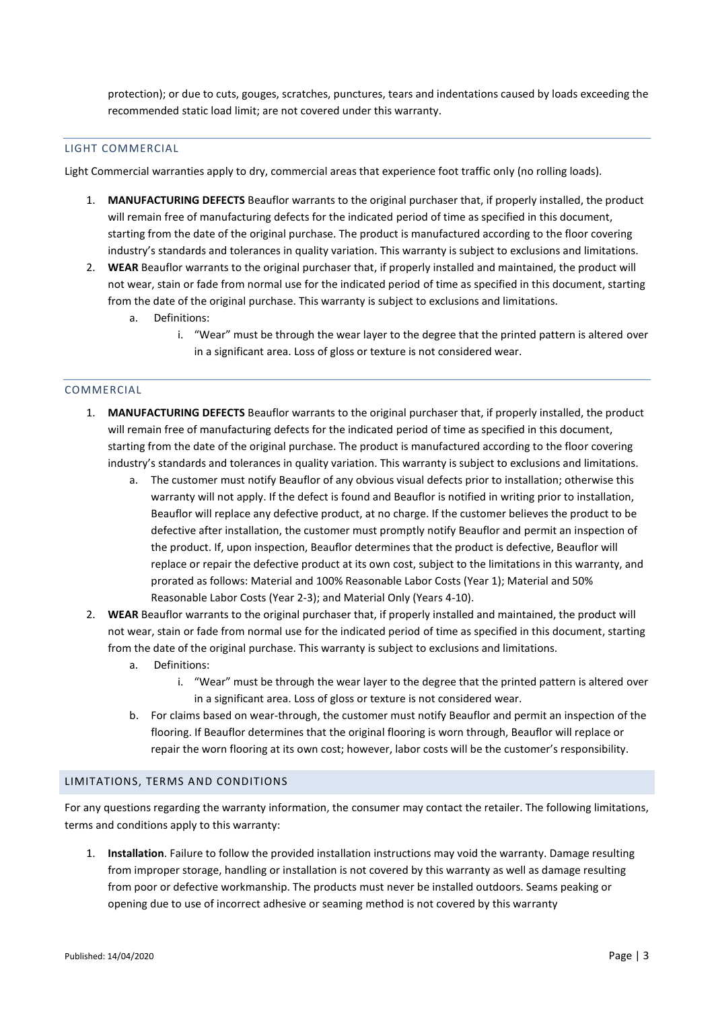protection); or due to cuts, gouges, scratches, punctures, tears and indentations caused by loads exceeding the recommended static load limit; are not covered under this warranty.

#### LIGHT COMMERCIAL

Light Commercial warranties apply to dry, commercial areas that experience foot traffic only (no rolling loads).

- 1. **MANUFACTURING DEFECTS** Beauflor warrants to the original purchaser that, if properly installed, the product will remain free of manufacturing defects for the indicated period of time as specified in this document, starting from the date of the original purchase. The product is manufactured according to the floor covering industry's standards and tolerances in quality variation. This warranty is subject to exclusions and limitations.
- 2. **WEAR** Beauflor warrants to the original purchaser that, if properly installed and maintained, the product will not wear, stain or fade from normal use for the indicated period of time as specified in this document, starting from the date of the original purchase. This warranty is subject to exclusions and limitations.
	- a. Definitions:
		- i. "Wear" must be through the wear layer to the degree that the printed pattern is altered over in a significant area. Loss of gloss or texture is not considered wear.

## COMMERCIAL

- 1. **MANUFACTURING DEFECTS** Beauflor warrants to the original purchaser that, if properly installed, the product will remain free of manufacturing defects for the indicated period of time as specified in this document, starting from the date of the original purchase. The product is manufactured according to the floor covering industry's standards and tolerances in quality variation. This warranty is subject to exclusions and limitations.
	- a. The customer must notify Beauflor of any obvious visual defects prior to installation; otherwise this warranty will not apply. If the defect is found and Beauflor is notified in writing prior to installation, Beauflor will replace any defective product, at no charge. If the customer believes the product to be defective after installation, the customer must promptly notify Beauflor and permit an inspection of the product. If, upon inspection, Beauflor determines that the product is defective, Beauflor will replace or repair the defective product at its own cost, subject to the limitations in this warranty, and prorated as follows: Material and 100% Reasonable Labor Costs (Year 1); Material and 50% Reasonable Labor Costs (Year 2-3); and Material Only (Years 4-10).
- 2. **WEAR** Beauflor warrants to the original purchaser that, if properly installed and maintained, the product will not wear, stain or fade from normal use for the indicated period of time as specified in this document, starting from the date of the original purchase. This warranty is subject to exclusions and limitations.
	- a. Definitions:
		- i. "Wear" must be through the wear layer to the degree that the printed pattern is altered over in a significant area. Loss of gloss or texture is not considered wear.
	- b. For claims based on wear-through, the customer must notify Beauflor and permit an inspection of the flooring. If Beauflor determines that the original flooring is worn through, Beauflor will replace or repair the worn flooring at its own cost; however, labor costs will be the customer's responsibility.

## LIMITATIONS, TERMS AND CONDITIONS

For any questions regarding the warranty information, the consumer may contact the retailer. The following limitations, terms and conditions apply to this warranty:

1. **Installation**. Failure to follow the provided installation instructions may void the warranty. Damage resulting from improper storage, handling or installation is not covered by this warranty as well as damage resulting from poor or defective workmanship. The products must never be installed outdoors. Seams peaking or opening due to use of incorrect adhesive or seaming method is not covered by this warranty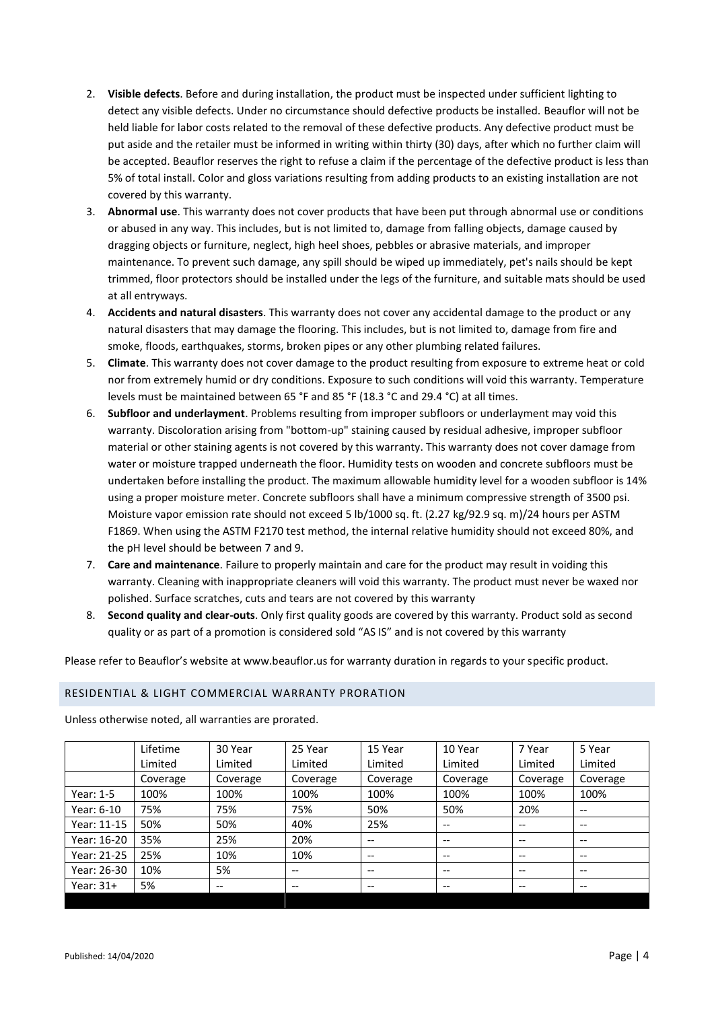- 2. **Visible defects**. Before and during installation, the product must be inspected under sufficient lighting to detect any visible defects. Under no circumstance should defective products be installed. Beauflor will not be held liable for labor costs related to the removal of these defective products. Any defective product must be put aside and the retailer must be informed in writing within thirty (30) days, after which no further claim will be accepted. Beauflor reserves the right to refuse a claim if the percentage of the defective product is less than 5% of total install. Color and gloss variations resulting from adding products to an existing installation are not covered by this warranty.
- 3. **Abnormal use**. This warranty does not cover products that have been put through abnormal use or conditions or abused in any way. This includes, but is not limited to, damage from falling objects, damage caused by dragging objects or furniture, neglect, high heel shoes, pebbles or abrasive materials, and improper maintenance. To prevent such damage, any spill should be wiped up immediately, pet's nails should be kept trimmed, floor protectors should be installed under the legs of the furniture, and suitable mats should be used at all entryways.
- 4. **Accidents and natural disasters**. This warranty does not cover any accidental damage to the product or any natural disasters that may damage the flooring. This includes, but is not limited to, damage from fire and smoke, floods, earthquakes, storms, broken pipes or any other plumbing related failures.
- 5. **Climate**. This warranty does not cover damage to the product resulting from exposure to extreme heat or cold nor from extremely humid or dry conditions. Exposure to such conditions will void this warranty. Temperature levels must be maintained between 65 °F and 85 °F (18.3 °C and 29.4 °C) at all times.
- 6. **Subfloor and underlayment**. Problems resulting from improper subfloors or underlayment may void this warranty. Discoloration arising from "bottom-up" staining caused by residual adhesive, improper subfloor material or other staining agents is not covered by this warranty. This warranty does not cover damage from water or moisture trapped underneath the floor. Humidity tests on wooden and concrete subfloors must be undertaken before installing the product. The maximum allowable humidity level for a wooden subfloor is 14% using a proper moisture meter. Concrete subfloors shall have a minimum compressive strength of 3500 psi. Moisture vapor emission rate should not exceed 5 lb/1000 sq. ft. (2.27 kg/92.9 sq. m)/24 hours per ASTM F1869. When using the ASTM F2170 test method, the internal relative humidity should not exceed 80%, and the pH level should be between 7 and 9.
- 7. **Care and maintenance**. Failure to properly maintain and care for the product may result in voiding this warranty. Cleaning with inappropriate cleaners will void this warranty. The product must never be waxed nor polished. Surface scratches, cuts and tears are not covered by this warranty
- 8. **Second quality and clear-outs**. Only first quality goods are covered by this warranty. Product sold as second quality or as part of a promotion is considered sold "AS IS" and is not covered by this warranty

Please refer to Beauflor's website at www.beauflor.us for warranty duration in regards to your specific product.

# RESIDENTIAL & LIGHT COMMERCIAL WARRANTY PRORATION

Unless otherwise noted, all warranties are prorated.

|             | Lifetime | 30 Year                  | 25 Year  | 15 Year  | 10 Year                  | 7 Year                                | 5 Year                   |
|-------------|----------|--------------------------|----------|----------|--------------------------|---------------------------------------|--------------------------|
|             | Limited  | Limited                  | Limited  | Limited  | Limited                  | Limited                               | Limited                  |
|             | Coverage | Coverage                 | Coverage | Coverage | Coverage                 | Coverage                              | Coverage                 |
| Year: $1-5$ | 100%     | 100%                     | 100%     | 100%     | 100%                     | 100%                                  | 100%                     |
| Year: 6-10  | 75%      | 75%                      | 75%      | 50%      | 50%                      | 20%                                   | $\hspace{0.05cm} \ldots$ |
| Year: 11-15 | 50%      | 50%                      | 40%      | 25%      | $\hspace{0.05cm} \ldots$ | $\hspace{0.05cm}$ – $\hspace{0.05cm}$ | $\hspace{0.05cm} \ldots$ |
| Year: 16-20 | 35%      | 25%                      | 20%      | --       | $\overline{\phantom{m}}$ | $- -$                                 | $\hspace{0.05cm} \ldots$ |
| Year: 21-25 | 25%      | 10%                      | 10%      | $- -$    | $\overline{\phantom{m}}$ | $- -$                                 | $\hspace{0.05cm} \ldots$ |
| Year: 26-30 | 10%      | 5%                       | --       | --       | $\overline{\phantom{m}}$ | $- -$                                 | $\hspace{0.05cm} \ldots$ |
| Year: $31+$ | 5%       | $\overline{\phantom{m}}$ | --       | --       | $\overline{\phantom{m}}$ | $- -$                                 | $\hspace{0.05cm} \ldots$ |
|             |          |                          |          |          |                          |                                       |                          |